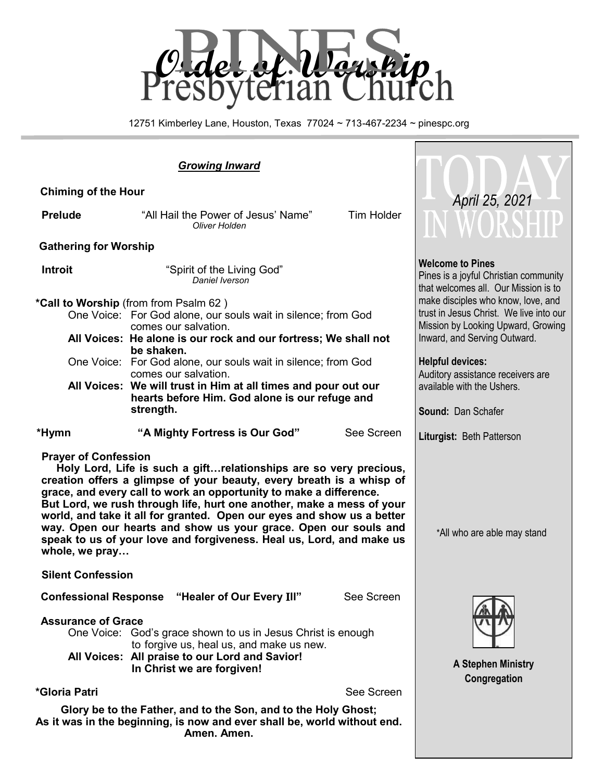

12751 Kimberley Lane, Houston, Texas 77024 ~ 713-467-2234 ~ pinespc.org

| <b>Chiming of the Hour</b>                                                                                                                                                                                                                                                                                                                                                                                                                                                                                                                                      |                                                                                                                                                                        |                                                                                                          | April 25, 2021                                               |  |  |
|-----------------------------------------------------------------------------------------------------------------------------------------------------------------------------------------------------------------------------------------------------------------------------------------------------------------------------------------------------------------------------------------------------------------------------------------------------------------------------------------------------------------------------------------------------------------|------------------------------------------------------------------------------------------------------------------------------------------------------------------------|----------------------------------------------------------------------------------------------------------|--------------------------------------------------------------|--|--|
| <b>Prelude</b>                                                                                                                                                                                                                                                                                                                                                                                                                                                                                                                                                  | "All Hail the Power of Jesus' Name"<br>Oliver Holden                                                                                                                   | <b>Tim Holder</b>                                                                                        | WORSHIP                                                      |  |  |
| <b>Gathering for Worship</b>                                                                                                                                                                                                                                                                                                                                                                                                                                                                                                                                    |                                                                                                                                                                        |                                                                                                          |                                                              |  |  |
| <b>Introit</b>                                                                                                                                                                                                                                                                                                                                                                                                                                                                                                                                                  | "Spirit of the Living God"<br>Daniel Iverson                                                                                                                           | <b>Welcome to Pines</b><br>Pines is a joyful Christian community<br>that welcomes all. Our Mission is to |                                                              |  |  |
|                                                                                                                                                                                                                                                                                                                                                                                                                                                                                                                                                                 | *Call to Worship (from from Psalm 62)                                                                                                                                  |                                                                                                          | make disciples who know, love, and                           |  |  |
|                                                                                                                                                                                                                                                                                                                                                                                                                                                                                                                                                                 | trust in Jesus Christ. We live into our<br>One Voice: For God alone, our souls wait in silence; from God<br>Mission by Looking Upward, Growing<br>comes our salvation. |                                                                                                          |                                                              |  |  |
|                                                                                                                                                                                                                                                                                                                                                                                                                                                                                                                                                                 | All Voices: He alone is our rock and our fortress; We shall not<br>be shaken.                                                                                          |                                                                                                          | Inward, and Serving Outward.                                 |  |  |
|                                                                                                                                                                                                                                                                                                                                                                                                                                                                                                                                                                 | One Voice: For God alone, our souls wait in silence; from God<br>comes our salvation.                                                                                  |                                                                                                          | <b>Helpful devices:</b><br>Auditory assistance receivers are |  |  |
|                                                                                                                                                                                                                                                                                                                                                                                                                                                                                                                                                                 | All Voices: We will trust in Him at all times and pour out our<br>hearts before Him. God alone is our refuge and                                                       |                                                                                                          | available with the Ushers.                                   |  |  |
|                                                                                                                                                                                                                                                                                                                                                                                                                                                                                                                                                                 | strength.                                                                                                                                                              |                                                                                                          | Sound: Dan Schafer                                           |  |  |
| *Hymn                                                                                                                                                                                                                                                                                                                                                                                                                                                                                                                                                           | "A Mighty Fortress is Our God"                                                                                                                                         | See Screen                                                                                               | Liturgist: Beth Patterson                                    |  |  |
| <b>Prayer of Confession</b><br>Holy Lord, Life is such a gift relationships are so very precious,<br>creation offers a glimpse of your beauty, every breath is a whisp of<br>grace, and every call to work an opportunity to make a difference.<br>But Lord, we rush through life, hurt one another, make a mess of your<br>world, and take it all for granted. Open our eyes and show us a better<br>way. Open our hearts and show us your grace. Open our souls and<br>speak to us of your love and forgiveness. Heal us, Lord, and make us<br>whole, we pray | *All who are able may stand                                                                                                                                            |                                                                                                          |                                                              |  |  |
| <b>Silent Confession</b>                                                                                                                                                                                                                                                                                                                                                                                                                                                                                                                                        |                                                                                                                                                                        |                                                                                                          |                                                              |  |  |
| <b>Confessional Response</b>                                                                                                                                                                                                                                                                                                                                                                                                                                                                                                                                    | See Screen                                                                                                                                                             |                                                                                                          |                                                              |  |  |
| <b>Assurance of Grace</b><br>One Voice: God's grace shown to us in Jesus Christ is enough<br>to forgive us, heal us, and make us new.                                                                                                                                                                                                                                                                                                                                                                                                                           |                                                                                                                                                                        |                                                                                                          |                                                              |  |  |
|                                                                                                                                                                                                                                                                                                                                                                                                                                                                                                                                                                 | All Voices: All praise to our Lord and Savior!<br>In Christ we are forgiven!                                                                                           |                                                                                                          | A Stephen Ministry<br>Congregation                           |  |  |
| *Gloria Patri                                                                                                                                                                                                                                                                                                                                                                                                                                                                                                                                                   |                                                                                                                                                                        | See Screen                                                                                               |                                                              |  |  |
| Glory be to the Father, and to the Son, and to the Holy Ghost;<br>As it was in the beginning, is now and ever shall be, world without end.                                                                                                                                                                                                                                                                                                                                                                                                                      |                                                                                                                                                                        |                                                                                                          |                                                              |  |  |

**Amen. Amen.**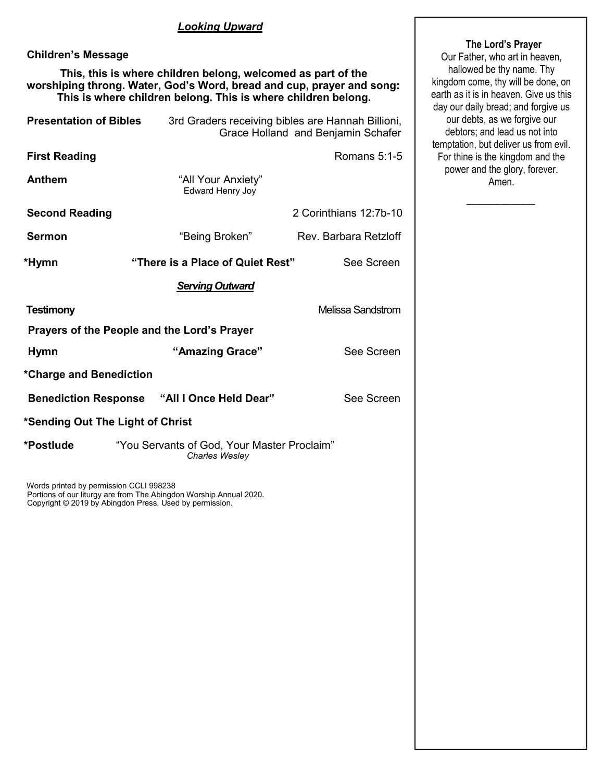#### *Looking Upward*

## **Children's Message**

 **This, this is where children belong, welcomed as part of the worshiping throng. Water, God's Word, bread and cup, prayer and song: This is where children belong. This is where children belong.** 

| <b>Presentation of Bibles</b>                      | 3rd Graders receiving bibles are Hannah Billioni,             | Grace Holland and Benjamin Schafer |  |  |  |
|----------------------------------------------------|---------------------------------------------------------------|------------------------------------|--|--|--|
| <b>First Reading</b>                               |                                                               | Romans $5:1-5$                     |  |  |  |
| Anthem                                             | "All Your Anxiety"<br>Edward Henry Joy                        |                                    |  |  |  |
| <b>Second Reading</b>                              |                                                               | 2 Corinthians 12:7b-10             |  |  |  |
| Sermon                                             | "Being Broken"                                                | Rev. Barbara Retzloff              |  |  |  |
| *Hymn                                              | "There is a Place of Quiet Rest"                              | See Screen                         |  |  |  |
| <b>Serving Outward</b>                             |                                                               |                                    |  |  |  |
| <b>Testimony</b><br>Melissa Sandstrom              |                                                               |                                    |  |  |  |
| Prayers of the People and the Lord's Prayer        |                                                               |                                    |  |  |  |
| <b>Hymn</b>                                        | "Amazing Grace"                                               | See Screen                         |  |  |  |
| *Charge and Benediction                            |                                                               |                                    |  |  |  |
| <b>Benediction Response "All I Once Held Dear"</b> |                                                               | See Screen                         |  |  |  |
| *Sending Out The Light of Christ                   |                                                               |                                    |  |  |  |
| *Postlude                                          | "You Servants of God, Your Master Proclaim"<br>Charles Wesley |                                    |  |  |  |

Words printed by permission CCLI 998238 Portions of our liturgy are from The Abingdon Worship Annual 2020. Copyright © 2019 by Abingdon Press. Used by permission.

#### **The Lord's Prayer**

Our Father, who art in heaven, hallowed be thy name. Thy kingdom come, thy will be done, on earth as it is in heaven. Give us this day our daily bread; and forgive us our debts, as we forgive our debtors; and lead us not into temptation, but deliver us from evil. For thine is the kingdom and the power and the glory, forever. Amen.

 $\overline{\phantom{a}}$  ,  $\overline{\phantom{a}}$  ,  $\overline{\phantom{a}}$  ,  $\overline{\phantom{a}}$  ,  $\overline{\phantom{a}}$  ,  $\overline{\phantom{a}}$  ,  $\overline{\phantom{a}}$  ,  $\overline{\phantom{a}}$  ,  $\overline{\phantom{a}}$  ,  $\overline{\phantom{a}}$  ,  $\overline{\phantom{a}}$  ,  $\overline{\phantom{a}}$  ,  $\overline{\phantom{a}}$  ,  $\overline{\phantom{a}}$  ,  $\overline{\phantom{a}}$  ,  $\overline{\phantom{a}}$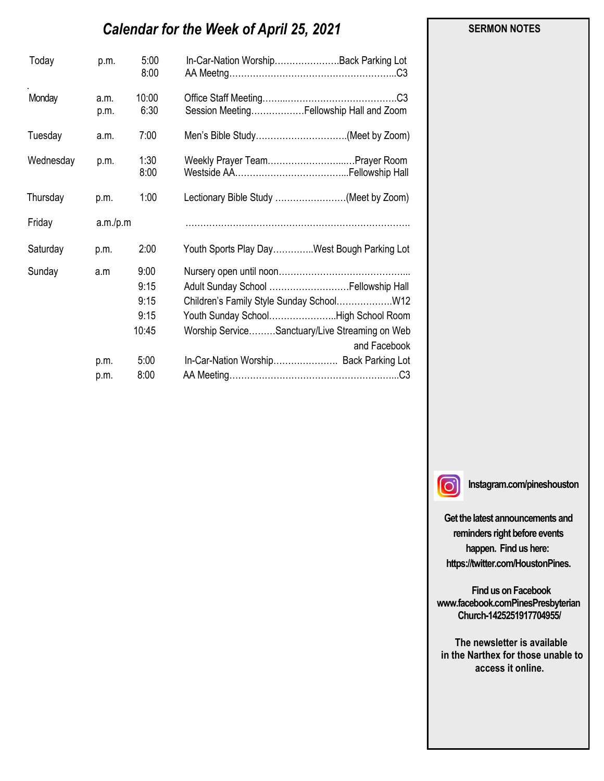# *Calendar for the Week of April 25, 2021*

| Today     | p.m.         | 5:00<br>8:00  | In-Car-Nation WorshipBack Parking Lot                          |
|-----------|--------------|---------------|----------------------------------------------------------------|
| Monday    | a.m.<br>p.m. | 10:00<br>6:30 | Session MeetingFellowship Hall and Zoom                        |
| Tuesday   | a.m.         | 7:00          | Men's Bible Study(Meet by Zoom)                                |
| Wednesday | p.m.         | 1:30<br>8:00  | Weekly Prayer TeamPrayer Room                                  |
| Thursday  | p.m.         | 1:00          | Lectionary Bible Study (Meet by Zoom)                          |
| Friday    | a.m./p.m     |               |                                                                |
| Saturday  | p.m.         | 2:00          | Youth Sports Play DayWest Bough Parking Lot                    |
| Sunday    | a.m          | 9:00          |                                                                |
|           |              | 9:15          | Adult Sunday School  Fellowship Hall                           |
|           |              | 9:15          |                                                                |
|           |              | 9:15          | Youth Sunday SchoolHigh School Room                            |
|           |              | 10:45         | Worship ServiceSanctuary/Live Streaming on Web<br>and Facebook |
|           | p.m.         | 5:00          | In-Car-Nation Worship Back Parking Lot                         |
|           | p.m.         | 8:00          |                                                                |

 **SERMON NOTES** 

 $\Omega$ 

**Instagram.com/pineshouston**

**Get the latest announcements and reminders right before events happen. Find us here: https://twitter.com/HoustonPines.** 

 **Find us on Facebook www.facebook.comPinesPresbyterian Church-1425251917704955/**

 **The newsletter is available in the Narthex for those unable to access it online.**